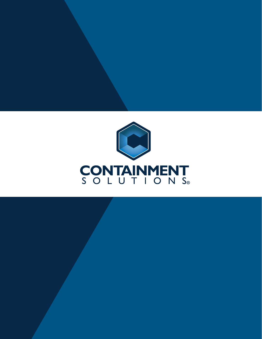

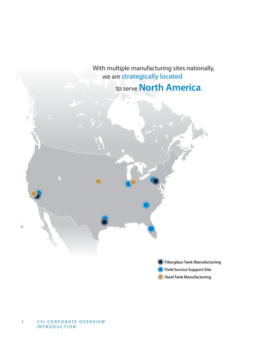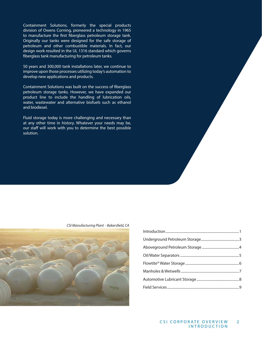Containment Solutions, formerly the special products division of Owens Corning, pioneered a technology in 1965 to manufacture the first fiberglass petroleum storage tank. Originally our tanks were designed for the safe storage of petroleum and other combustible materials. In fact, our design work resulted in the UL 1316 standard which governs fiberglass tank manufacturing for petroleum tanks.

50 years and 300,000 tank installations later, we continue to improve upon those processes utilizing today's automation to develop new applications and products.

Containment Solutions was built on the success of fiberglass petroleum storage tanks. However, we have expanded our product line to include the handling of lubrication oils, water, wastewater and alternative biofuels such as ethanol and biodiesel.

Fluid storage today is more challenging and necessary than at any other time in history. Whatever your needs may be, our staff will work with you to determine the best possible solution.



#### CSI Manufacturing Plant - Bakersfield, CA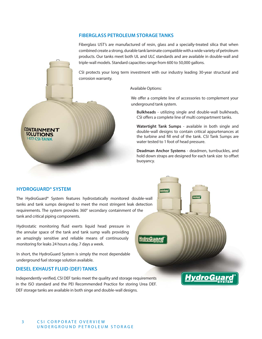### **FIBERGLASS PETROLEUM STORAGE TANKS**

Fiberglass UST's are manufactured of resin, glass and a specially-treated silica that when combined create a strong, durable tank laminate compatible with a wide variety of petroleum products. Our tanks meet both UL and ULC standards and are available in double-wall and triple-wall models. Standard capacities range from 600 to 50,000 gallons.

CSI protects your long term investment with our industry leading 30-year structural and corrosion warranty.

Available Options:

*HvdroGua* 

We offer a complete line of accessories to complement your underground tank system.

**Bulkheads** - utilizing single and double-wall bulkheads, CSI offers a complete line of multi compartment tanks.

**Watertight Tank Sumps** - available in both single and double-wall designs to contain critical appurtenances at the turbine and fill end of the tank. CSI Tank Sumps are water tested to 1 foot of head pressure.

**Deadman Anchor Systems** - deadmen, turnbuckles, and hold down straps are designed for each tank size to offset buoyancy.

vdroGu

## **HYDROGUARD® SYSTEM**

**CONTAINMENT SOLUTIONS** 1-877-CSI-TANK

The HydroGuard® System features hydrostatically monitored double-wall tanks and tank sumps designed to meet the most stringent leak detection requirements. The system provides 360° secondary containment of the tank and critical piping components.

Hydrostatic monitoring fluid exerts liquid head pressure in the annular space of the tank and tank sump walls providing an amazingly sensitive and reliable means of continuously monitoring for leaks 24 hours a day, 7 days a week.

In short, the HydroGuard System is simply the most dependable underground fuel storage solution available.

### **DIESEL EXHAUST FLUID (DEF) TANKS**

Independently verified, CSI DEF tanks meet the quality and storage requirements in the ISO standard and the PEI Recommended Practice for storing Urea DEF. DEF storage tanks are available in both singe and double-wall designs.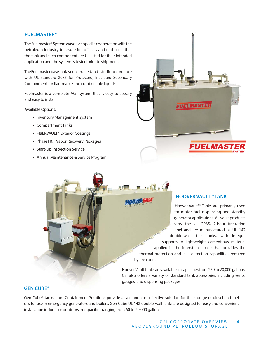### **FUELMASTER®**

The Fuelmaster® System was developed in cooperation with the petroleum industry to assure fire officials and end users that the tank and each component are UL listed for their intended application and the system is tested prior to shipment.

The Fuelmaster base tank is constructed and listed in accordance with UL standard 2085 for Protected, Insulated Secondary Containment for flammable and combustible liquids.

Fuelmaster is a complete AGT system that is easy to specify and easy to install.

Available Options:

- Inventory Management System
- Compartment Tanks
- FIBERVAULT<sup>®</sup> Exterior Coatings
- Phase I & II Vapor Recovery Packages
- Start-Up Inspection Service
- Annual Maintenance & Service Program



## **HOOVER VAULT™ TANK**

Hoover Vault™ Tanks are primarily used for motor fuel dispensing and standby generator applications. All vault products carry the UL 2085, 2-hour fire-rating label and are manufactured as UL 142 double-wall steel tanks, with integral supports. A lightweight cementious material is applied in the interstitial space that provides the thermal protection and leak detection capabilities required by fire codes.

Hoover Vault Tanks are available in capacities from 250 to 20,000 gallons. CSI also offers a variety of standard tank accessories including vents, gauges and dispensing packages.

 $\mathbf{a}$ 

omaal

### **GEN CUBE®**

Gen Cube® tanks from Containment Solutions provide a safe and cost effective solution for the storage of diesel and fuel oils for use in emergency generators and boilers. Gen Cube UL 142 double-wall tanks are designed for easy and convenient installation indoors or outdoors in capacities ranging from 60 to 20,000 gallons.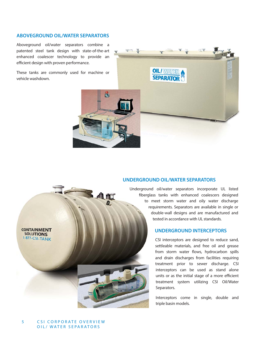## **ABOVEGROUND OIL/WATER SEPARATORS**

Aboveground oil/water separators combine a patented steel tank design with state-of-the-art enhanced coalescer technology to provide an efficient design with proven performance.

These tanks are commonly used for machine or vehicle washdown.





Underground oil/water separators incorporate UL listed Undergroun fiberglass tanks with enhanced coalescers designed to meet storm water and oily water discharge requirements. Separators are available in single or double-wall designs and are manufactured and tested in accordance with UL standards.

## **UNDERGROUND INTERCEPTORS**

CSI interceptors are designed to reduce sand, settleable materials, and free oil and grease from storm water flows, hydrocarbon spills and drain discharges from facilities requiring treatment prior to sewer discharge. CSI interceptors can be used as stand alone units or as the initial stage of a more efficient treatment system utilizing CSI Oil/Water Separators.

Interceptors come in single, double and triple basin models.



32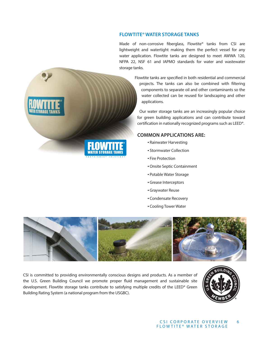## **FLOWTITE® WATER STORAGE TANKS**

Made of non-corrosive fiberglass, Flowtite® tanks from CSI are lightweight and watertight making them the perfect vessel for any water application. Flowtite tanks are designed to meet AWWA 120, NFPA 22, NSF 61 and IAPMO standards for water and wastewater storage tanks.

> Flowtite tanks are specified in both residential and commercial projects. The tanks can also be combined with filtering components to separate oil and other contaminants so the water collected can be reused for landscaping and other applications.

Our water storage tanks are an increasingly popular choice for green building applications and can contribute toward certification in nationally recognized programs such as LEED®.

# **COMMON APPLICATIONS ARE:**

- Rainwater Harvesting
- Stormwater Collection
- Fire Protection
- •Onsite Septic Containment
- Potable Water Storage
- Grease Interceptors
- Graywater Reuse
- Condensate Recovery
- Cooling Tower Water



CSI is committed to providing environmentally conscious designs and products. As a member of the U.S. Green Building Council we promote proper fluid management and sustainable site development. Flowtite storage tanks contribute to satisfying multiple credits of the LEED® Green Building Rating System (a national program from the USGBC).



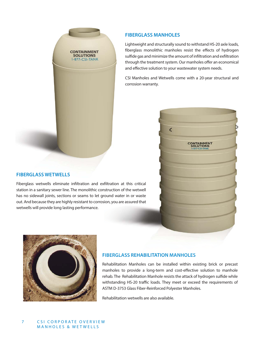

## **FIBERGLASS MANHOLES**

Lightweight and structurally sound to withstand HS-20 axle loads, fiberglass monolithic manholes resist the effects of hydrogen sulfide gas and minimize the amount of infiltration and exfiltration through the treatment system. Our manholes offer an economical and effective solution to your wastewater system needs.

CSI Manholes and Wetwells come with a 20-year structural and corrosion warranty.



## **FIBERGLASS WETWELLS**

Fiberglass wetwells eliminate infiltration and exfiltration at this critical station in a sanitary sewer line. The monolithic construction of the wetwell has no sidewall joints, sections or seams to let ground water in or waste out. And because they are highly resistant to corrosion, you are assured that wetwells will provide long lasting performance.



## **FIBERGLASS REHABILITATION MANHOLES FIBERGLASS REHABILITATION**

Rehabilitation Manholes can be installed within existing brick or precast manholes to provide a long-term and cost-effective solution to manhole rehab. The Rehabilitation Manhole resists the attack of hydrogen sulfide while withstanding HS-20 traffic loads. They meet or exceed the requirements of ASTM D-3753 Glass Fiber-Reinforced Polyester Manholes.

Rehabilitation wetwells are also available.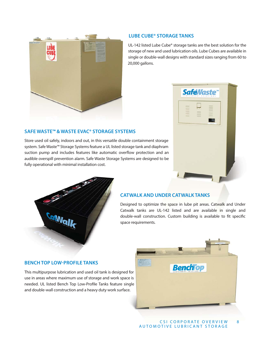

## **LUBE CUBE® STORAGE TANKS**

UL-142 listed Lube Cube® storage tanks are the best solution for the storage of new and used lubrication oils. Lube Cubes are available in single or double-wall designs with standard sizes ranging from 60 to 20,000 gallons.

# **SAFE WASTE™ & WASTE EVAC® STORAGE SYSTEMS**

Store used oil safely, indoors and out, in this versatile double containment storage Store used oil safely, indoors and out, in this versatile double containment storage<br>system. Safe Waste™ Storage Systems feature a UL listed storage tank and diaphram suction pump and includes features like automatic overflow protection and an audible overspill prevention alarm. Safe Waste Storage Systems are designed to be fully operational with minimal installation cost. **EVAC® STORAGE SYSTEMS**<br>nd out, in this versatile double containment sto<br>ystems feature a UL listed storage tank and diap<br>eatures like automatic overflow protection ar<br>arm. Safe Waste Storage Systems are designed doub





### **CATWALK AND UNDER CATWALK TANKS**

Designed to optimize the space in lube pit areas. Catwalk and Under Catwalk tanks are UL-142 listed and are available in single and double-wall construction. Custom building is available to fit specific space requirements.

## **BENCH TOP LOW-PROFILE TANKS**

This multipurpose lubrication and used oil tank is designed for use in areas where maximum use of storage and work space is needed. UL listed Bench Top Low-Profile Tanks feature single and double-wall construction and a heavy duty work surface.

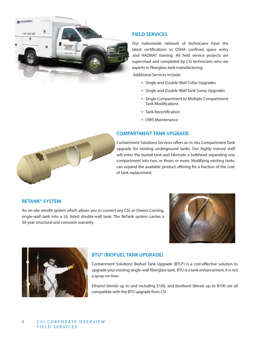

## **FIELD SERVICES**

Our nationwide network of technicians have the latest certifications in OSHA confined space entry and HAZMAT training. All field service projects are supervised and completed by CSI technicians who are experts in fiberglass tank manufacturing.

Additional Services Include:

- Single and Double-Wall Collar Upgrades
- Single and Double-Wall Tank Sump Upgrades
- Single Compartment to Multiple Compartment **Tank Modifications**
- Tank Recertification
- OWS Maintenance

### **COMPARTMENT TANK UPGRADE**

Containment Solutions Services offers an in situ Compartment Tank upgrade for existing underground tanks. Our highly trained staff will enter the buried tank and fabricate a bulkhead separating one compartment into two, or three, or more. Modifying existing tanks can expand the available product offering for a fraction of the cost of tank replacement.



An on-site retrofit system which allows you to convert any CSI, or Owens Corning, single-wall tank into a UL listed double-wall tank. The ReTank system carries a 30-year structural and corrosion warranty.





# **BTU® (BIOFUEL TANK UPGRADE)**

Containment Solutions' Biofuel Tank Upgrade (BTU®) is a cost-effective solution to upgrade your existing single-wall fiberglass tank. BTU is a tank enhancement, it is not a spray-on liner.

Ethanol blends up to and including E100, and biodiesel blends up to B100 are all compatible with the BTU upgrade from CSI.

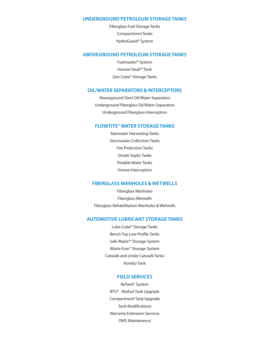### **UNDERGROUND PETROLEUM STORAGE TANKS**

Fiberglass Fuel Storage Tanks Compartment Tanks HydroGuard® System

### **ABOVEGROUND PETROLEUM STORAGE TANKS**

Fuelmaster® System Hoover Vault™ Tank Gen Cube® Storage Tanks

#### **OIL/WATER SEPARATORS & INTERCEPTORS**

Aboveground Steel Oil/Water Separators Underground Fiberglass Oil/Water Separators Underground Fiberglass Interceptors

### **FLOWTITE® WATER STORAGE TANKS**

Rainwater Harvesting Tanks Stormwater Collection Tanks Fire Protection Tanks Onsite Septic Tanks Potable Water Tanks Grease Interceptors

### **FIBERGLASS MANHOLES & WETWELLS**

Fiberglass Manholes Fiberglass Wetwells Fiberglass Rehabilitation Manholes & Wetwells

### **AUTOMOTIVE LUBRICANT STORAGE TANKS**

Lube Cube® Storage Tanks Bench Top Low-Profile Tanks Safe Waste™ Storage System Waste Evac® Storage System Catwalk and Under Catwalk Tanks Kombo Tank

### **FIELD SERVICES**

ReTank® System BTU® - Biofuel Tank Upgrade Compartment Tank Upgrade **Tank Modifications** Warranty Extension Services OWS Maintenance